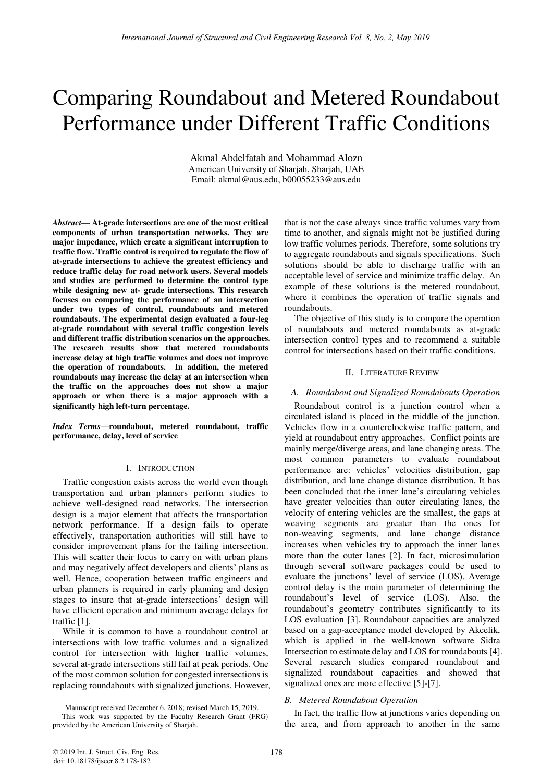# Comparing Roundabout and Metered Roundabout Performance under Different Traffic Conditions

Akmal Abdelfatah and Mohammad Alozn American University of Sharjah, Sharjah, UAE Email: akmal@aus.edu, b00055233@aus.edu

*Abstract***— At-grade intersections are one of the most critical components of urban transportation networks. They are major impedance, which create a significant interruption to traffic flow. Traffic control is required to regulate the flow of at-grade intersections to achieve the greatest efficiency and reduce traffic delay for road network users. Several models and studies are performed to determine the control type while designing new at- grade intersections. This research focuses on comparing the performance of an intersection under two types of control, roundabouts and metered roundabouts. The experimental design evaluated a four-leg at-grade roundabout with several traffic congestion levels and different traffic distribution scenarios on the approaches. The research results show that metered roundabouts increase delay at high traffic volumes and does not improve the operation of roundabouts. In addition, the metered roundabouts may increase the delay at an intersection when the traffic on the approaches does not show a major approach or when there is a major approach with a significantly high left-turn percentage.**

*Index Terms***—roundabout, metered roundabout, traffic performance, delay, level of service** 

## I. INTRODUCTION

Traffic congestion exists across the world even though transportation and urban planners perform studies to achieve well-designed road networks. The intersection design is a major element that affects the transportation network performance. If a design fails to operate effectively, transportation authorities will still have to consider improvement plans for the failing intersection. This will scatter their focus to carry on with urban plans and may negatively affect developers and clients' plans as well. Hence, cooperation between traffic engineers and urban planners is required in early planning and design stages to insure that at-grade intersections' design will have efficient operation and minimum average delays for traffic [1].

While it is common to have a roundabout control at intersections with low traffic volumes and a signalized control for intersection with higher traffic volumes, several at-grade intersections still fail at peak periods. One of the most common solution for congested intersections is replacing roundabouts with signalized junctions. However, that is not the case always since traffic volumes vary from time to another, and signals might not be justified during low traffic volumes periods. Therefore, some solutions try to aggregate roundabouts and signals specifications. Such solutions should be able to discharge traffic with an acceptable level of service and minimize traffic delay. An example of these solutions is the metered roundabout, where it combines the operation of traffic signals and roundabouts.

The objective of this study is to compare the operation of roundabouts and metered roundabouts as at-grade intersection control types and to recommend a suitable control for intersections based on their traffic conditions.

## II. LITERATURE REVIEW

# *A. Roundabout and Signalized Roundabouts Operation*

Roundabout control is a junction control when a circulated island is placed in the middle of the junction. Vehicles flow in a counterclockwise traffic pattern, and yield at roundabout entry approaches. Conflict points are mainly merge/diverge areas, and lane changing areas. The most common parameters to evaluate roundabout performance are: vehicles' velocities distribution, gap distribution, and lane change distance distribution. It has been concluded that the inner lane's circulating vehicles have greater velocities than outer circulating lanes, the velocity of entering vehicles are the smallest, the gaps at weaving segments are greater than the ones for non-weaving segments, and lane change distance increases when vehicles try to approach the inner lanes more than the outer lanes [2]. In fact, microsimulation through several software packages could be used to evaluate the junctions' level of service (LOS). Average control delay is the main parameter of determining the roundabout's level of service (LOS). Also, the roundabout's geometry contributes significantly to its LOS evaluation [3]. Roundabout capacities are analyzed based on a gap-acceptance model developed by Akcelik, which is applied in the well-known software Sidra Intersection to estimate delay and LOS for roundabouts [4]. Several research studies compared roundabout and signalized roundabout capacities and showed that signalized ones are more effective [5]-[7].

## *B. Metered Roundabout Operation*

In fact, the traffic flow at junctions varies depending on the area, and from approach to another in the same

-

Manuscript received December 6, 2018; revised March 15, 2019.

This work was supported by the Faculty Research Grant (FRG) provided by the American University of Sharjah.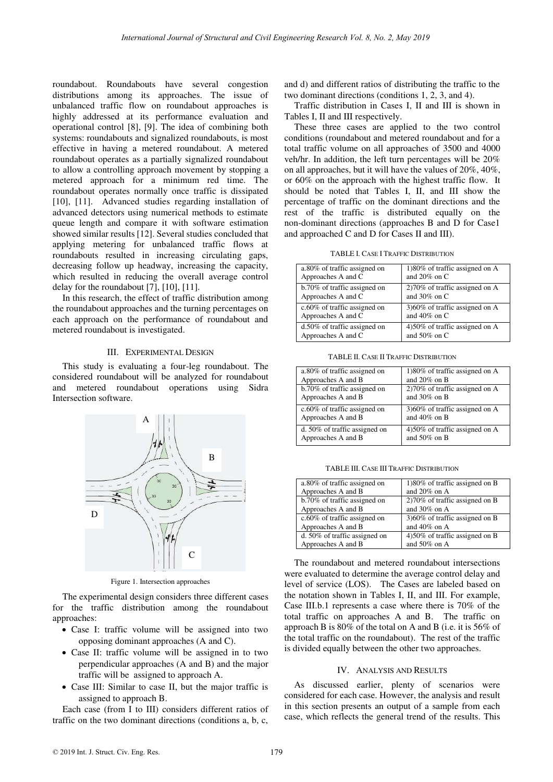roundabout. Roundabouts have several congestion distributions among its approaches. The issue of unbalanced traffic flow on roundabout approaches is highly addressed at its performance evaluation and operational control [8], [9]. The idea of combining both systems: roundabouts and signalized roundabouts, is most effective in having a metered roundabout. A metered roundabout operates as a partially signalized roundabout to allow a controlling approach movement by stopping a metered approach for a minimum red time. The roundabout operates normally once traffic is dissipated [10], [11]. Advanced studies regarding installation of advanced detectors using numerical methods to estimate queue length and compare it with software estimation showed similar results [12]. Several studies concluded that applying metering for unbalanced traffic flows at roundabouts resulted in increasing circulating gaps, decreasing follow up headway, increasing the capacity, which resulted in reducing the overall average control delay for the roundabout [7], [10], [11].

In this research, the effect of traffic distribution among the roundabout approaches and the turning percentages on each approach on the performance of roundabout and metered roundabout is investigated.

## III. EXPERIMENTAL DESIGN

This study is evaluating a four-leg roundabout. The considered roundabout will be analyzed for roundabout and metered roundabout operations using Sidra Intersection software.



Figure 1. Intersection approaches

The experimental design considers three different cases for the traffic distribution among the roundabout approaches:

- Case I: traffic volume will be assigned into two opposing dominant approaches (A and C).
- Case II: traffic volume will be assigned in to two perpendicular approaches (A and B) and the major traffic will be assigned to approach A.
- Case III: Similar to case II, but the major traffic is assigned to approach B.

Each case (from I to III) considers different ratios of traffic on the two dominant directions (conditions a, b, c,

and d) and different ratios of distributing the traffic to the two dominant directions (conditions 1, 2, 3, and 4).

Traffic distribution in Cases I, II and III is shown in Tables I, II and III respectively.

These three cases are applied to the two control conditions (roundabout and metered roundabout and for a total traffic volume on all approaches of 3500 and 4000 veh/hr. In addition, the left turn percentages will be 20% on all approaches, but it will have the values of 20%, 40%, or 60% on the approach with the highest traffic flow. It should be noted that Tables I, II, and III show the percentage of traffic on the dominant directions and the rest of the traffic is distributed equally on the non-dominant directions (approaches B and D for Case1 and approached C and D for Cases II and III).

TABLE I. CASE I TRAFFIC DISTRIBUTION

| a.80% of traffic assigned on    | 1)80% of traffic assigned on A |
|---------------------------------|--------------------------------|
| Approaches A and C              | and $20\%$ on C                |
| b.70% of traffic assigned on    | 2)70% of traffic assigned on A |
| Approaches A and C              | and $30\%$ on C                |
| $c.60\%$ of traffic assigned on | 3)60% of traffic assigned on A |
| Approaches A and C              | and $40\%$ on C                |
| d.50% of traffic assigned on    | 4)50% of traffic assigned on A |
| Approaches A and C              | and $50\%$ on C                |

TABLE II. CASE II TRAFFIC DISTRIBUTION

| a.80% of traffic assigned on  | 1)80% of traffic assigned on A   |
|-------------------------------|----------------------------------|
| Approaches A and B            | and $20\%$ on B                  |
| b.70% of traffic assigned on  | $270\%$ of traffic assigned on A |
| Approaches A and B            | and $30\%$ on B                  |
| c.60% of traffic assigned on  | 3)60% of traffic assigned on A   |
| Approaches A and B            | and $40\%$ on B                  |
| d. 50% of traffic assigned on | 4)50% of traffic assigned on A   |
| Approaches A and B            | and $50\%$ on B                  |

TABLE III. CASE III TRAFFIC DISTRIBUTION

| a.80% of traffic assigned on  | $1)80\%$ of traffic assigned on B |
|-------------------------------|-----------------------------------|
| Approaches A and B            | and $20\%$ on A                   |
| b.70% of traffic assigned on  | $270\%$ of traffic assigned on B  |
| Approaches A and B            | and $30\%$ on A                   |
| c.60% of traffic assigned on  | 3)60% of traffic assigned on B    |
| Approaches A and B            | and $40\%$ on A                   |
| d. 50% of traffic assigned on | 4)50% of traffic assigned on B    |
| Approaches A and B            | and $50\%$ on A                   |

The roundabout and metered roundabout intersections were evaluated to determine the average control delay and level of service (LOS). The Cases are labeled based on the notation shown in Tables I, II, and III. For example, Case III.b.1 represents a case where there is 70% of the total traffic on approaches A and B. The traffic on approach B is 80% of the total on A and B (i.e. it is 56% of the total traffic on the roundabout). The rest of the traffic is divided equally between the other two approaches.

#### IV. ANALYSIS AND RESULTS

As discussed earlier, plenty of scenarios were considered for each case. However, the analysis and result in this section presents an output of a sample from each case, which reflects the general trend of the results. This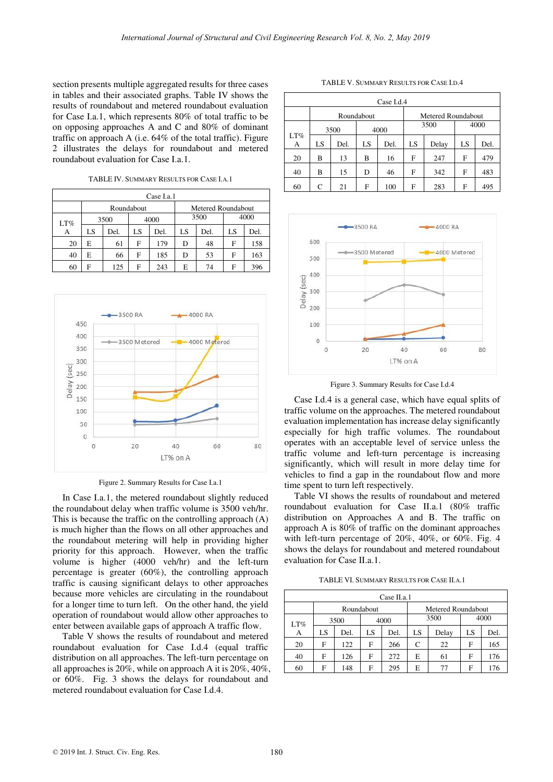section presents multiple aggregated results for three cases in tables and their associated graphs. Table IV shows the results of roundabout and metered roundabout evaluation for Case I.a.1, which represents 80% of total traffic to be on opposing approaches A and C and 80% of dominant traffic on approach A (i.e. 64% of the total traffic). Figure 2 illustrates the delays for roundabout and metered roundabout evaluation for Case I.a.1.

TABLE IV. SUMMARY RESULTS FOR CASE I.A.1

| Case I.a.1 |    |      |      |            |      |                    |      |    |      |  |
|------------|----|------|------|------------|------|--------------------|------|----|------|--|
|            |    |      |      | Roundabout |      | Metered Roundabout |      |    |      |  |
| LT%        |    | 3500 |      | 4000       |      |                    | 3500 |    | 4000 |  |
| А          |    | LS   | Del. | LS         | Del. | LS                 | Del. | LS | Del. |  |
|            | 20 | E    | 61   | F          | 179  | D                  | 48   | F  | 158  |  |
|            | 40 | E    | 66   | F          | 185  | D                  | 53   | F  | 163  |  |
|            | 60 | F    | 125  | F          | 243  | E                  | 74   | F  | 396  |  |



Figure 2. Summary Results for Case I.a.1

In Case I.a.1, the metered roundabout slightly reduced the roundabout delay when traffic volume is 3500 veh/hr. This is because the traffic on the controlling approach (A) is much higher than the flows on all other approaches and the roundabout metering will help in providing higher priority for this approach. However, when the traffic volume is higher (4000 veh/hr) and the left-turn percentage is greater (60%), the controlling approach traffic is causing significant delays to other approaches because more vehicles are circulating in the roundabout for a longer time to turn left. On the other hand, the yield operation of roundabout would allow other approaches to enter between available gaps of approach A traffic flow.

Table V shows the results of roundabout and metered roundabout evaluation for Case I.d.4 (equal traffic distribution on all approaches. The left-turn percentage on all approaches is 20%, while on approach A it is 20%, 40%, or 60%. Fig. 3 shows the delays for roundabout and metered roundabout evaluation for Case I.d.4.

TABLE V. SUMMARY RESULTS FOR CASE I.D.4

| Case I.d.4 |      |      |            |      |    |                    |    |      |  |  |
|------------|------|------|------------|------|----|--------------------|----|------|--|--|
|            |      |      | Roundabout |      |    | Metered Roundabout |    |      |  |  |
|            | 3500 |      | 4000       |      |    | 3500               |    | 4000 |  |  |
| LT%<br>А   | LS   | Del. | LS         | Del. | LS | Delay              | LS | Del. |  |  |
| 20         | B    | 13   | B          | 16   | F  | 247                | F  | 479  |  |  |
| 40         | B    | 15   | D          | 46   | F  | 342                | F  | 483  |  |  |
| 60         | C    | 21   | F          | 100  | F  | 283                | F  | 495  |  |  |



Figure 3. Summary Results for Case I.d.4

Case I.d.4 is a general case, which have equal splits of traffic volume on the approaches. The metered roundabout evaluation implementation has increase delay significantly especially for high traffic volumes. The roundabout operates with an acceptable level of service unless the traffic volume and left-turn percentage is increasing significantly, which will result in more delay time for vehicles to find a gap in the roundabout flow and more time spent to turn left respectively.

Table VI shows the results of roundabout and metered roundabout evaluation for Case II.a.1 (80% traffic distribution on Approaches A and B. The traffic on approach A is 80% of traffic on the dominant approaches with left-turn percentage of 20%, 40%, or 60%. Fig. 4 shows the delays for roundabout and metered roundabout evaluation for Case II.a.1.

TABLE VI. SUMMARY RESULTS FOR CASE II.A.1

| Case II.a.1 |    |      |            |              |    |                    |      |      |  |  |
|-------------|----|------|------------|--------------|----|--------------------|------|------|--|--|
|             |    |      | Roundabout |              |    | Metered Roundabout |      |      |  |  |
| LT%         |    | 3500 |            | 3500<br>4000 |    |                    | 4000 |      |  |  |
| А           | LS | Del. | LS         | Del.         | LS | Delay              | LS   | Del. |  |  |
| 20          | F  | 122  | F          | 266          | C  | 22                 | F    | 165  |  |  |
| 40          | F  | 126  | F          | 272          | E  | 61                 | F    | 176  |  |  |
| 60          | F  | 148  | F          | 295          | E  | 77                 | F    | 176  |  |  |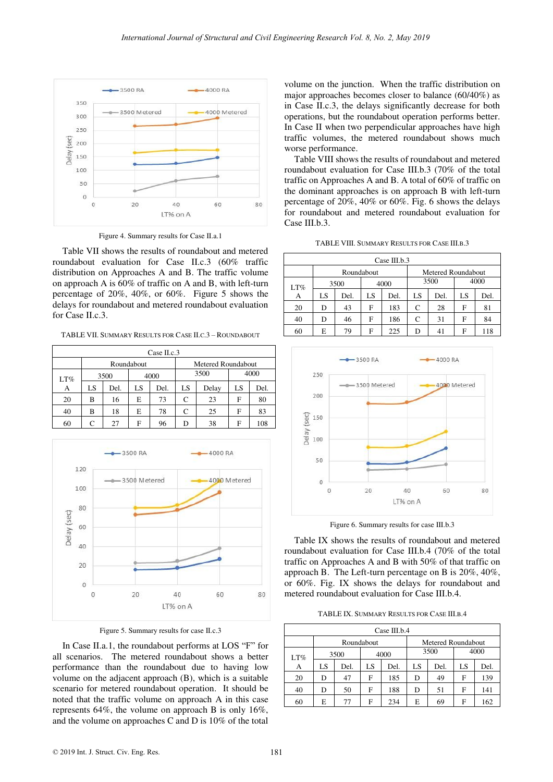

Figure 4. Summary results for Case II.a.1

Table VII shows the results of roundabout and metered roundabout evaluation for Case II.c.3 (60% traffic distribution on Approaches A and B. The traffic volume on approach A is 60% of traffic on A and B, with left-turn percentage of 20%, 40%, or 60%. Figure 5 shows the delays for roundabout and metered roundabout evaluation for Case II.c.3.

TABLE VII. SUMMARY RESULTS FOR CASE II.C.3 – ROUNDABOUT

| Case II.c.3 |    |      |            |      |                    |       |    |      |  |  |
|-------------|----|------|------------|------|--------------------|-------|----|------|--|--|
|             |    |      | Roundabout |      | Metered Roundabout |       |    |      |  |  |
| LT%         |    | 3500 | 4000       |      |                    | 3500  |    | 4000 |  |  |
| А           | LS | Del. | LS         | Del. | LS                 | Delay | LS | Del. |  |  |
| 20          | В  | 16   | E          | 73   | C                  | 23    | F  | 80   |  |  |
| 40          | в  | 18   | E          | 78   | C                  | 25    | F  | 83   |  |  |
| 60          |    | 27   | F          | 96   | D                  | 38    | F  | 108  |  |  |



Figure 5. Summary results for case II.c.3

In Case II.a.1, the roundabout performs at LOS "F" for all scenarios. The metered roundabout shows a better performance than the roundabout due to having low volume on the adjacent approach (B), which is a suitable scenario for metered roundabout operation. It should be noted that the traffic volume on approach A in this case represents 64%, the volume on approach B is only 16%, and the volume on approaches C and D is 10% of the total volume on the junction. When the traffic distribution on major approaches becomes closer to balance (60/40%) as in Case II.c.3, the delays significantly decrease for both operations, but the roundabout operation performs better. In Case II when two perpendicular approaches have high traffic volumes, the metered roundabout shows much worse performance.

Table VIII shows the results of roundabout and metered roundabout evaluation for Case III.b.3 (70% of the total traffic on Approaches A and B. A total of 60% of traffic on the dominant approaches is on approach B with left-turn percentage of 20%, 40% or 60%. Fig. 6 shows the delays for roundabout and metered roundabout evaluation for Case III.b.3.

|  |  | TABLE VIII. SUMMARY RESULTS FOR CASE III.B.3 |  |
|--|--|----------------------------------------------|--|
|--|--|----------------------------------------------|--|

| Case III.b.3 |    |                      |    |      |                    |      |    |      |  |  |
|--------------|----|----------------------|----|------|--------------------|------|----|------|--|--|
|              |    | Roundabout           |    |      | Metered Roundabout |      |    |      |  |  |
| LT%          |    | 3500<br>4000<br>3500 |    |      |                    | 4000 |    |      |  |  |
| А            | LS | Del.                 | LS | Del. | LS                 | Del. | LS | Del. |  |  |
| 20           | D  | 43                   | F  | 183  | C                  | 28   | F  | 81   |  |  |
| 40           | D  | 46                   | F  | 186  | C                  | 31   | F  | 84   |  |  |
| 60           | E  | 79                   | F  | 225  | D                  | 41   | F  | 118  |  |  |



Figure 6. Summary results for case III.b.3

Table IX shows the results of roundabout and metered roundabout evaluation for Case III.b.4 (70% of the total traffic on Approaches A and B with 50% of that traffic on approach B. The Left-turn percentage on B is 20%, 40%, or 60%. Fig. IX shows the delays for roundabout and metered roundabout evaluation for Case III.b.4.

TABLE IX. SUMMARY RESULTS FOR CASE III.B.4

| Case III.b. $4$ |      |      |            |      |    |                    |    |      |  |  |
|-----------------|------|------|------------|------|----|--------------------|----|------|--|--|
|                 |      |      | Roundabout |      |    | Metered Roundabout |    |      |  |  |
| LT%             | 3500 |      | 4000       |      |    | 3500               |    | 4000 |  |  |
| А               | LS   | Del. | LS         | Del. | LS | Del.               | LS | Del. |  |  |
| 20              | D    | 47   | F          | 185  | D  | 49                 | F  | 139  |  |  |
| 40              | D    | 50   | F          | 188  | D  | 51                 | F  | 141  |  |  |
| 60              | E    | 77   | F          | 234  | E  | 69                 | F  | 162  |  |  |